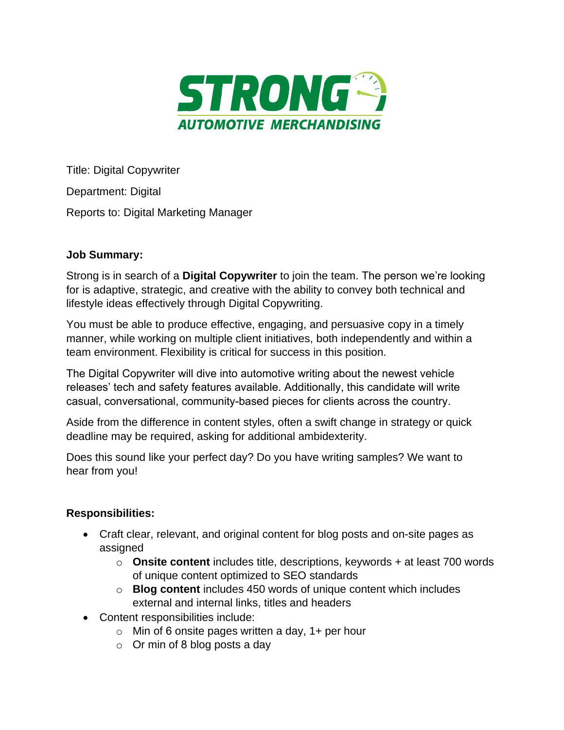

Title: Digital Copywriter Department: Digital Reports to: Digital Marketing Manager

## **Job Summary:**

Strong is in search of a **Digital Copywriter** to join the team. The person we're looking for is adaptive, strategic, and creative with the ability to convey both technical and lifestyle ideas effectively through Digital Copywriting.

You must be able to produce effective, engaging, and persuasive copy in a timely manner, while working on multiple client initiatives, both independently and within a team environment. Flexibility is critical for success in this position.

The Digital Copywriter will dive into automotive writing about the newest vehicle releases' tech and safety features available. Additionally, this candidate will write casual, conversational, community-based pieces for clients across the country.

Aside from the difference in content styles, often a swift change in strategy or quick deadline may be required, asking for additional ambidexterity.

Does this sound like your perfect day? Do you have writing samples? We want to hear from you!

## **Responsibilities:**

- Craft clear, relevant, and original content for blog posts and on-site pages as assigned
	- o **Onsite content** includes title, descriptions, keywords + at least 700 words of unique content optimized to SEO standards
	- o **Blog content** includes 450 words of unique content which includes external and internal links, titles and headers
- Content responsibilities include:
	- $\circ$  Min of 6 onsite pages written a day, 1+ per hour
	- $\circ$  Or min of 8 blog posts a day